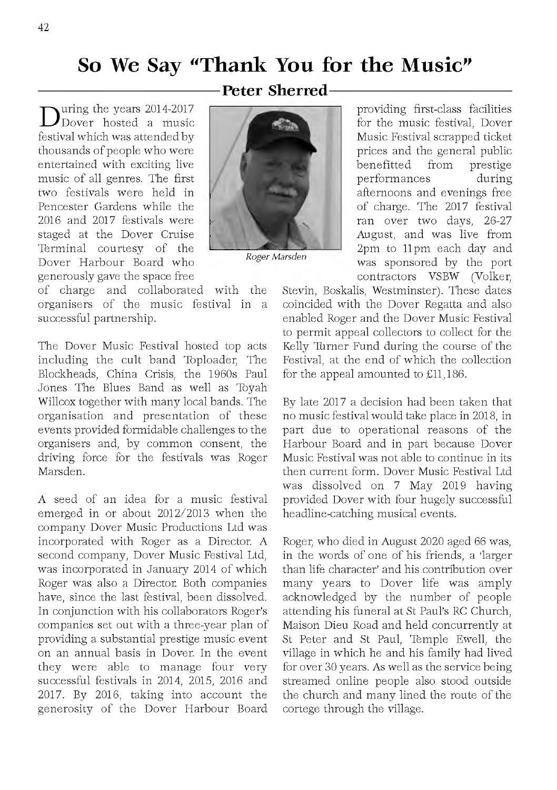## **So We Say "Thank You for the Music"**

During the years 2014-2017<br>Dover hosted a music Dover hosted a music festival which was attended by thousands of people who were entertained with exciting live music of all genres. The first two festivals were held in Pencester Gardens while the 2016 and 2017 festivals were staged at the Dover Cruise Terminal courtesy of the Dover Harbour Board who generously gave the space free

of charge and collaborated with the organisers of the music festival in a successful partnership.

The Dover Music Festival hosted top acts including the cult band Toploader, The Blockheads, China Crisis, the 1960s Paul Jones The Blues Band as well as Toyah Willcox together with many local bands. The organisation and presentation of these events provided form idable challenges to the organisers and, by common consent, the driving force for the festivals was Roger M arsden.

A seed of an idea for a music festival emerged in or about 2012/2013 when the company Dover Music Productions Ltd was incorporated with Roger as a Director. A second company, Dover Music Festival Ltd, was incorporated in January 2014 of which Roger was also a Director. Both companies have, since the last festival, been dissolved. In conjunction with his collaborators Roger's companies set out with a three-year plan of providing a substantial prestige music event on an annual basis in Dover. In the event they were able to manage four very successful festivals in 2014, 2015, 2016 and 2017. By 2016, taking into account the generosity of the Dover Harbour Board





*Roger Marsden*

providing first-class facilities for the music festival. Dover Music Festival scrapped ticket prices and the general public benefitted from prestige performances during afternoons and evenings free of charge. The 2017 festival ran over two days, 26-27 August, and was live from 2pm to 11pm each day and was sponsored by the port contractors VSBW (Volker,

Stevin, Boskalis, Westminster). These dates coincided with the Dover Regatta and also enabled Roger and the Dover Music Festival to permit appeal collectors to collect for the Kelly Turner Fund during the course of the Festival, at the end of which the collection for the appeal amounted to £11,186.

By late 2017 a decision had been taken that no music festival would take place in 2018, in part due to operational reasons of the Harbour Board and in part because Dover Music Festival was not able to continue in its then current form. Dover Music Festival Ltd was dissolved on 7 May 2019 having provided Dover with four hugely successful headline-catching musical events.

Roger, w ho died in August 2020 aged 66 was, in the words of one of his friends, a 'larger than life character' and his contribution over many years to Dover life was amply acknowledged by the number of people attending his funeral at St Paul's RC Church, Maison Dieu Road and held concurrently at St Peter and St Paul, Temple Ewell, the village in w hich he and his fam ily had lived for over 30 years. As well as the service being streamed online people also stood outside the church and many lined the route of the cortege through the village.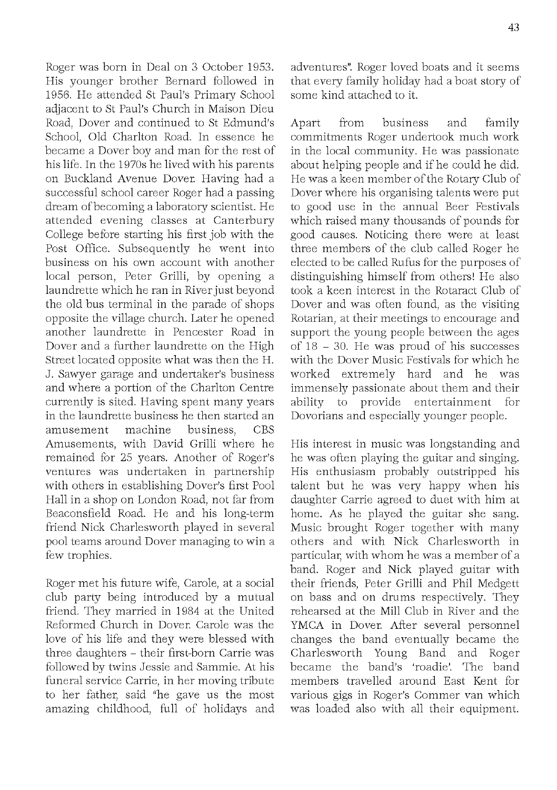Roger was born in Deal on 3 October 1953. His younger brother Bernard followed in 1956. He attended St Paul's Primary School adiacent to St Paul's Church in Maison Dieu Road, Dover and continued to St Edmund's School, Old Charlton Road. In essence he became a Dover boy and man for the rest of his life. In the 1970s he lived with his parents on Buckland Avenue Dover. Having had a successful school career Roger had a passing dream of becom ing a laboratory scientist. He attended evening classes at Canterbury College before starting his first job with the Post Office. Subsequently he went into business on his own account with another local person, Peter Grilli, by opening a laundrette which he ran in River just beyond the old bus terminal in the parade of shops opposite the village church. Later he opened another laundrette in Pencester Road in Dover and a further laundrette on the High Street located opposite what was then the H. J. Saw yer garage and u ndertaker's business and where a portion of the Charlton Centre currently is sited. Having spent many years in the laundrette business he then started an amusement machine business. CBS Amusements, with David Grilli where he remained for 25 years. Another of Roger's ventures was undertaken in partnership with others in establishing Dover's first Pool Hall in a shop on London Road, not far from Beaconsfield Road. He and his long-term friend Nick Charlesworth played in several pool teams around Dover managing to win a few trophies.

Roger met his future wife, Carole, at a social club party being introduced by a mutual friend. They married in 1984 at the United Reformed Church in Dover. Carole was the love of his life and they were blessed with three daughters - their first-born Carrie was followed by twins Jessie and Sammie. At his funeral service Carrie, in her moving tribute to her father, said "he gave us the most amazing childhood, full of holidays and adventures". Roger loved boats and it seem s that every family holiday had a boat story of some kind attached to it.

Apart from business and family commitments Roger undertook much work in the local community. He was passionate about helping people and if he could he did. He was a keen member of the Rotary Club of Dover where his organising talents were put to good use in the annual Beer Festivals which raised many thousands of pounds for good causes. Noticing there were at least three members of the club called Roger he elected to be called Rufus for the purposes of distinguishing himself from others! He also took a keen interest in the Rotaract Club of Dover and was often found, as the visiting Rotarian, at their meetings to encourage and support the young people between the ages of  $18 - 30$ . He was proud of his successes with the Dover Music Festivals for which he worked extremely hard and he was immensely passionate about them and their ability to provide entertainment for Dovorians and especially younger people.

His interest in music was longstanding and he was often playing the guitar and singing. His enthusiasm probably outstripped his talent but he was very happy when his daughter Carrie agreed to duet with him at home. As he played the guitar she sang. Music brought Roger together with many others and with Nick Charlesworth in particular, with whom he was a member of a band. Roger and Nick played guitar with their friends, Peter Grilli and Phil Medgett on bass and on drums respectively. They rehearsed at the Mill Club in River and the YMCA in Dover. After several personnel changes the band eventually became the Charlesworth Young Band and Roger became the band's 'roadie'. The band members travelled around East Kent for various gigs in Roger's Commer van which was loaded also with all their equipment.